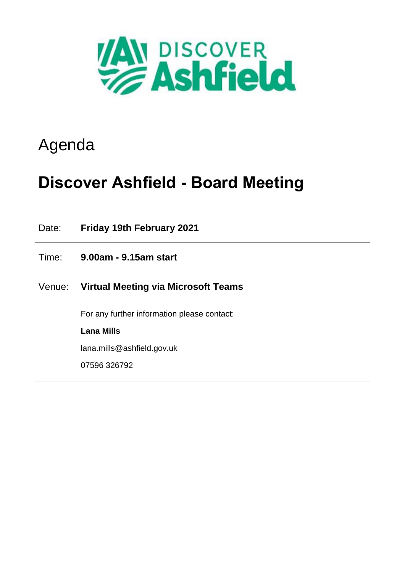

## Agenda

# **Discover Ashfield - Board Meeting**

| Date:  | <b>Friday 19th February 2021</b>            |
|--------|---------------------------------------------|
| Time:  | 9.00am - 9.15am start                       |
| Venue: | Virtual Meeting via Microsoft Teams         |
|        | For any further information please contact: |
|        | <b>Lana Mills</b>                           |
|        | lana.mills@ashfield.gov.uk                  |
|        | 07596 326792                                |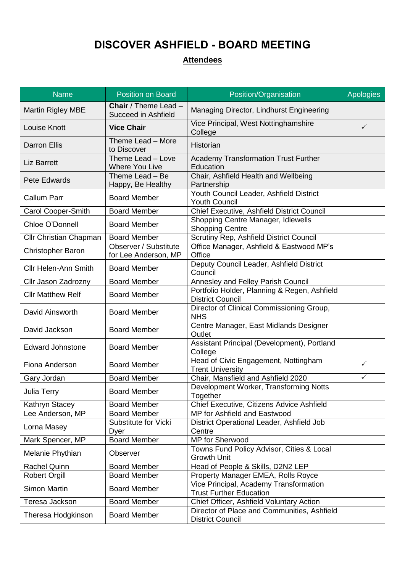### **DISCOVER ASHFIELD - BOARD MEETING**

### **Attendees**

| <b>Name</b>                 | <b>Position on Board</b>                           | Position/Organisation                                                    | <b>Apologies</b> |
|-----------------------------|----------------------------------------------------|--------------------------------------------------------------------------|------------------|
| <b>Martin Rigley MBE</b>    | <b>Chair</b> / Theme Lead -<br>Succeed in Ashfield | Managing Director, Lindhurst Engineering                                 |                  |
| Louise Knott                | <b>Vice Chair</b>                                  | Vice Principal, West Nottinghamshire<br>College                          | $\checkmark$     |
| <b>Darron Ellis</b>         | Theme Lead - More<br>to Discover                   | <b>Historian</b>                                                         |                  |
| <b>Liz Barrett</b>          | Theme Lead - Love<br><b>Where You Live</b>         | <b>Academy Transformation Trust Further</b><br>Education                 |                  |
| Pete Edwards                | Theme Lead - Be<br>Happy, Be Healthy               | Chair, Ashfield Health and Wellbeing<br>Partnership                      |                  |
| <b>Callum Parr</b>          | <b>Board Member</b>                                | Youth Council Leader, Ashfield District<br><b>Youth Council</b>          |                  |
| <b>Carol Cooper-Smith</b>   | <b>Board Member</b>                                | Chief Executive, Ashfield District Council                               |                  |
| Chloe O'Donnell             | <b>Board Member</b>                                | Shopping Centre Manager, Idlewells<br><b>Shopping Centre</b>             |                  |
| Cllr Christian Chapman      | <b>Board Member</b>                                | Scrutiny Rep, Ashfield District Council                                  |                  |
| <b>Christopher Baron</b>    | Observer / Substitute<br>for Lee Anderson, MP      | Office Manager, Ashfield & Eastwood MP's<br>Office                       |                  |
| <b>Cllr Helen-Ann Smith</b> | <b>Board Member</b>                                | Deputy Council Leader, Ashfield District<br>Council                      |                  |
| Cllr Jason Zadrozny         | <b>Board Member</b>                                | Annesley and Felley Parish Council                                       |                  |
| <b>Cllr Matthew Relf</b>    | <b>Board Member</b>                                | Portfolio Holder, Planning & Regen, Ashfield<br><b>District Council</b>  |                  |
| David Ainsworth             | <b>Board Member</b>                                | Director of Clinical Commissioning Group,<br><b>NHS</b>                  |                  |
| David Jackson               | <b>Board Member</b>                                | Centre Manager, East Midlands Designer<br>Outlet                         |                  |
| <b>Edward Johnstone</b>     | <b>Board Member</b>                                | Assistant Principal (Development), Portland<br>College                   |                  |
| Fiona Anderson              | <b>Board Member</b>                                | Head of Civic Engagement, Nottingham<br><b>Trent University</b>          | $\checkmark$     |
| Gary Jordan                 | <b>Board Member</b>                                | Chair, Mansfield and Ashfield 2020                                       | $\checkmark$     |
| Julia Terry                 | <b>Board Member</b>                                | Development Worker, Transforming Notts<br>Together                       |                  |
| Kathryn Stacey              | <b>Board Member</b>                                | Chief Executive, Citizens Advice Ashfield                                |                  |
| Lee Anderson, MP            | <b>Board Member</b>                                | MP for Ashfield and Eastwood                                             |                  |
| Lorna Masey                 | Substitute for Vicki<br>Dyer                       | District Operational Leader, Ashfield Job<br>Centre                      |                  |
| Mark Spencer, MP            | <b>Board Member</b>                                | <b>MP</b> for Sherwood                                                   |                  |
| Melanie Phythian            | Observer                                           | Towns Fund Policy Advisor, Cities & Local<br><b>Growth Unit</b>          |                  |
| <b>Rachel Quinn</b>         | <b>Board Member</b>                                | Head of People & Skills, D2N2 LEP                                        |                  |
| <b>Robert Orgill</b>        | <b>Board Member</b>                                | Property Manager EMEA, Rolls Royce                                       |                  |
| <b>Simon Martin</b>         | <b>Board Member</b>                                | Vice Principal, Academy Transformation<br><b>Trust Further Education</b> |                  |
| Teresa Jackson              | <b>Board Member</b>                                | Chief Officer, Ashfield Voluntary Action                                 |                  |
| Theresa Hodgkinson          | <b>Board Member</b>                                | Director of Place and Communities, Ashfield<br><b>District Council</b>   |                  |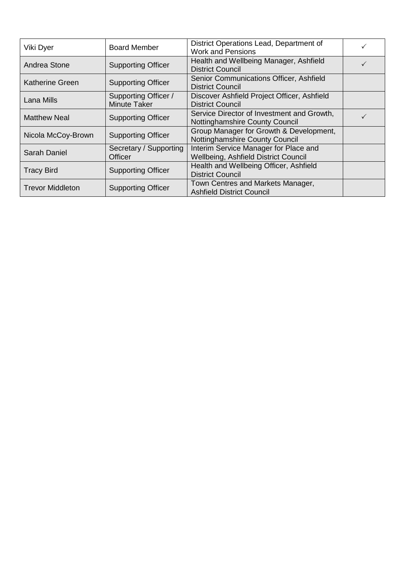| Viki Dyer               | <b>Board Member</b>                         | District Operations Lead, Department of<br><b>Work and Pensions</b>           |  |
|-------------------------|---------------------------------------------|-------------------------------------------------------------------------------|--|
| Andrea Stone            | <b>Supporting Officer</b>                   | Health and Wellbeing Manager, Ashfield<br><b>District Council</b>             |  |
| <b>Katherine Green</b>  | <b>Supporting Officer</b>                   | Senior Communications Officer, Ashfield<br><b>District Council</b>            |  |
| Lana Mills              | Supporting Officer /<br><b>Minute Taker</b> | Discover Ashfield Project Officer, Ashfield<br><b>District Council</b>        |  |
| <b>Matthew Neal</b>     | <b>Supporting Officer</b>                   | Service Director of Investment and Growth,<br>Nottinghamshire County Council  |  |
| Nicola McCoy-Brown      | <b>Supporting Officer</b>                   | Group Manager for Growth & Development,<br>Nottinghamshire County Council     |  |
| Sarah Daniel            | Secretary / Supporting<br>Officer           | Interim Service Manager for Place and<br>Wellbeing, Ashfield District Council |  |
| <b>Tracy Bird</b>       | <b>Supporting Officer</b>                   | Health and Wellbeing Officer, Ashfield<br><b>District Council</b>             |  |
| <b>Trevor Middleton</b> | <b>Supporting Officer</b>                   | Town Centres and Markets Manager,<br><b>Ashfield District Council</b>         |  |